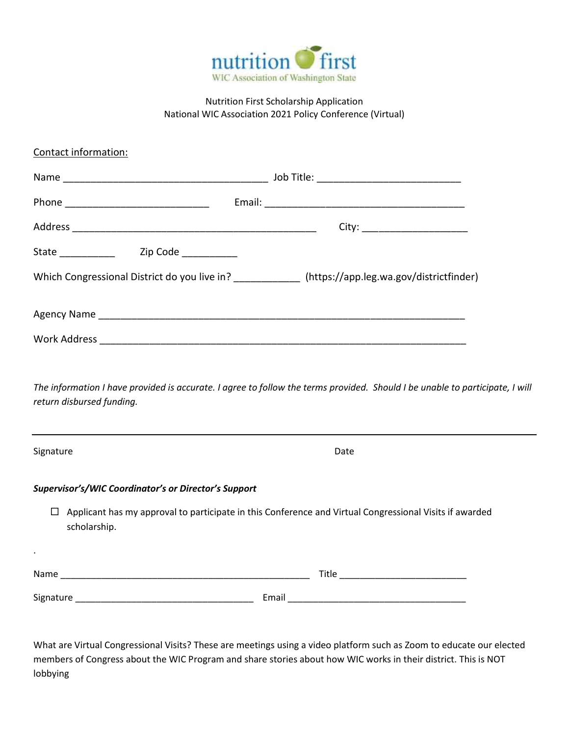

## Nutrition First Scholarship Application National WIC Association 2021 Policy Conference (Virtual)

| Contact information:                                 |                                                                                                           |
|------------------------------------------------------|-----------------------------------------------------------------------------------------------------------|
|                                                      |                                                                                                           |
|                                                      |                                                                                                           |
|                                                      | City: _________________________                                                                           |
| State _______________  Zip Code ____________         |                                                                                                           |
|                                                      | Which Congressional District do you live in? ____________ (https://app.leg.wa.gov/districtfinder)         |
|                                                      |                                                                                                           |
|                                                      |                                                                                                           |
| return disbursed funding.<br>Signature               | Date                                                                                                      |
| Supervisor's/WIC Coordinator's or Director's Support |                                                                                                           |
| scholarship.                                         | □ Applicant has my approval to participate in this Conference and Virtual Congressional Visits if awarded |
| $\cdot$                                              |                                                                                                           |
|                                                      |                                                                                                           |
|                                                      |                                                                                                           |
|                                                      |                                                                                                           |

What are Virtual Congressional Visits? These are meetings using a video platform such as Zoom to educate our elected members of Congress about the WIC Program and share stories about how WIC works in their district. This is NOT lobbying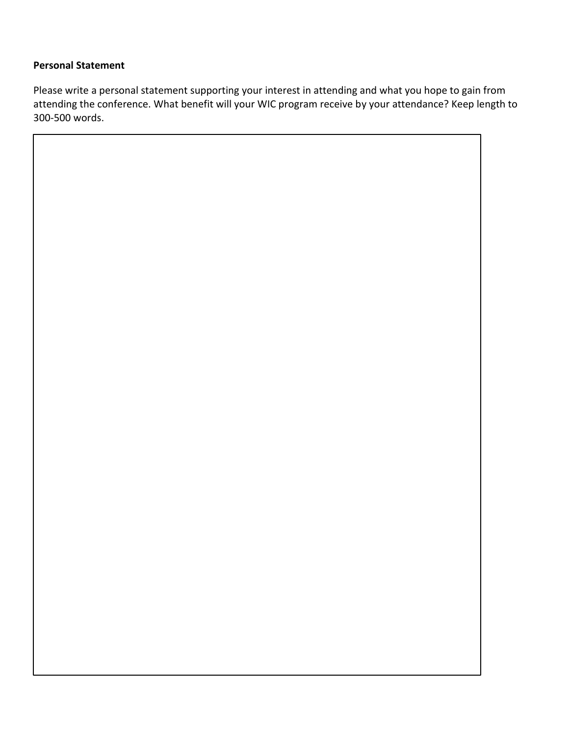## **Personal Statement**

Please write a personal statement supporting your interest in attending and what you hope to gain from attending the conference. What benefit will your WIC program receive by your attendance? Keep length to 300-500 words.